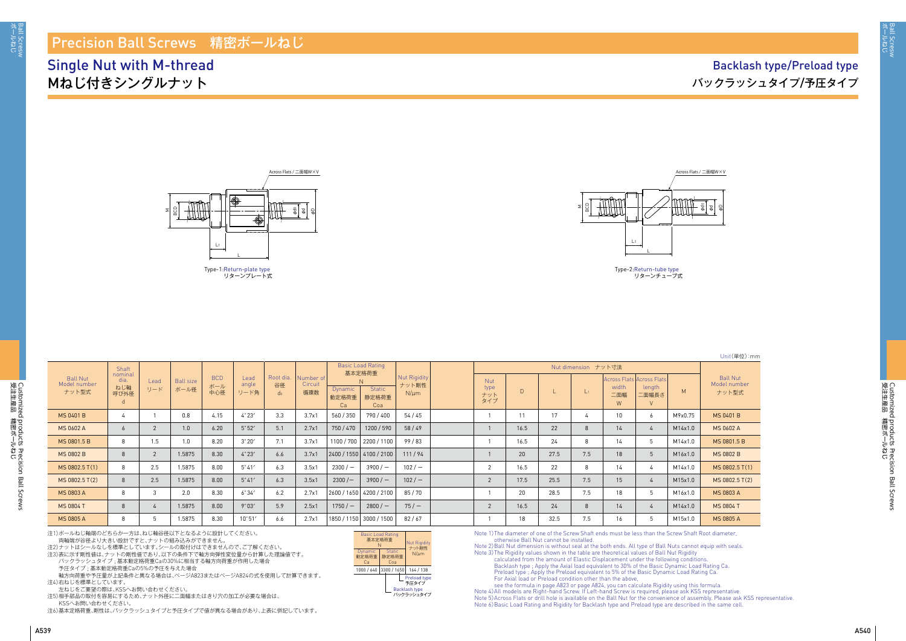

| Unit(単位):mm |
|-------------|
|             |
|             |

| <b>Ball Nut</b><br>Model number<br>ナット型式 | Shaft                          |                |                          |                          |                       |                                   |                             | <b>Basic Load Rating</b><br>基本定格荷重 |                               |                                    | Nut dimension ナット寸法       |      |      |                |                   |                                              |         |                                          |
|------------------------------------------|--------------------------------|----------------|--------------------------|--------------------------|-----------------------|-----------------------------------|-----------------------------|------------------------------------|-------------------------------|------------------------------------|---------------------------|------|------|----------------|-------------------|----------------------------------------------|---------|------------------------------------------|
|                                          | nominal<br>dia.<br>ねじ軸<br>呼び外径 | Lead<br>リード    | <b>Ball size</b><br>ボール径 | <b>BCD</b><br>ボール<br>中心径 | Lead<br>angle<br>リード角 | Root dia.<br>谷径<br>d <sub>0</sub> | Number of<br>Circuit<br>循環数 | <b>Dynamic</b><br>動定格荷重<br>Ca      | <b>Static</b><br>静定格荷重<br>Coa | Nut Rigidity<br>ナット剛性<br>$N/\mu m$ | Nut<br>type<br>ナット<br>タイプ |      |      | L <sub>1</sub> | width<br>二面幅<br>W | Across Flats Across Flats<br>length<br>二面幅長さ | M       | <b>Ball Nut</b><br>Model number<br>ナット型式 |
| <b>MS 0401 B</b>                         |                                |                | 0.8                      | 4.15                     | $4^{\circ}23'$        | 3.3                               | 3.7x1                       | 560 / 350                          | 790 / 400                     | 54 / 45                            |                           | 11   | 17   |                | 10                | 6                                            | M9x0.75 | <b>MS 0401 B</b>                         |
| <b>MS 0602 A</b>                         |                                |                | 1.0                      | 6.20                     | $5^{\circ}52'$        | 5.1                               | $2.7\times1$                | 750/470                            | 1200 / 590                    | 58/49                              |                           | 16.5 | 22   | $\mathcal{B}$  | 14                |                                              | M14x1.0 | MS 0602 A                                |
| MS 0801.5 B                              |                                | 1.5            | 1.0                      | 8.20                     | $3^{\circ}20'$        | 7.1                               | 3.7x1                       |                                    | 1100 / 700   2200 / 1100      | 99/83                              |                           | 16.5 | 24   | 8              | 14                | -5                                           | M14x1.0 | MS 0801.5 B                              |
| <b>MS 0802 B</b>                         |                                | $\overline{2}$ | 1.5875                   | 8.30                     | 4°23'                 | 6.6                               | 3.7x1                       |                                    | 2400 / 1550 4100 / 2100       | 111/94                             |                           | 20   | 27.5 | 7.5            | 18                | -5                                           | M16x1.0 | <b>MS 0802 B</b>                         |
| MS 0802.5 T(1)                           |                                | 2.5            | 1.5875                   | 8.00                     | $5^{\circ}41'$        | 6.3                               | 3.5x1                       | $2300/-$                           | $3900/-$                      | 102/                               | 2                         | 16.5 | 22   | -8             | 14                | 4                                            | M14x1.0 | MS 0802.5 T(1)                           |
| MS 0802.5 T(2)                           |                                | 2.5            | 1.5875                   | 8.00                     | $5^{\circ}41'$        | 6.3                               | 3.5x1                       | $2300/-$                           | $3900/-$                      | $102/ -$                           | 2                         | 17.5 | 25.5 | 7.5            | 15 <sup>15</sup>  |                                              | M15x1.0 | MS 0802.5 T(2)                           |
| <b>MS 0803 A</b>                         |                                | 3              | 2.0                      | 8.30                     | 6°34'                 | 6.2                               | $2.7\times1$                |                                    | 2600 / 1650   4200 / 2100     | 85/70                              |                           | 20   | 28.5 | 7.5            | 18                | -5                                           | M16x1.0 | <b>MS 0803 A</b>                         |
| <b>MS 0804 T</b>                         |                                |                | 1.5875                   | 8.00                     | $9^{\circ}03'$        | 5.9                               | 2.5x1                       | $1750/-$                           | $2800/-$                      | $75/ -$                            | $\overline{2}$            | 16.5 | 24   | 8              | 14                |                                              | M14x1.0 | <b>MS 0804 T</b>                         |
| <b>MS 0805 A</b>                         |                                |                | 1.5875                   | 8.30                     | $10^{\circ}51'$       | 6.6                               | 2.7x1                       |                                    | 1850 / 1150   3000 / 1500     | 82/67                              |                           | 18   | 32.5 | 7.5            | 16                |                                              | M15x1.0 | <b>MS 0805 A</b>                         |

Note 2) Ball Nut dimension is without seal at the both ends. All type of Ball Nuts cannot equip with seals. Note 3) The Rigidity values shown in the table are theoretical values of Ball Nut Rigidity calculated from the amount of Elastic Displacement under the following condition Backlash type ; Apply the Axial load equivalent to 30% of the Basic Dynamic Load Rating Ca. Preload type ; Apply the Preload equivalent to 5% of the Basic Dynamic Load Rating Ca. For Axial load or Preload condition other than the above,

注1)ボールねじ軸端のどちらか一方は、ねじ軸谷径以下となるように設計してください。 両軸端が谷径より大きい設計ですと、ナットの組み込みができません。

注2)ナットはシールなしを標準としています。シールの取付けはできませんので、ご了解ください。

注3)表に示す剛性値は、ナットの剛性値であり、以下の条件下で軸方向弾性変位量から計算した理論値です。

バックラッシュタイプ ; 基本動定格荷重Caの30%に相当する軸方向荷重が作用した場合

予圧タイプ ; 基本動定格荷重Caの5%の予圧を与えた場合

軸方向荷重や予圧量が上記条件と異なる場合は、ぺージA823またはぺージA824の式を使用して計算できます。 注4)右ねじを標準としています。

左ねじをご要望の際は、KSSへお問い合わせください。

注5)相手部品の取付を容易にするため、ナット外径に二面幅またはきり穴の加工が必要な場合は、 KSSへお問い合わせください。

注6)基本定格荷重、剛性は、バックラッシュタイプと予圧タイプで値が異なる場合があり、上表に併記しています。

#### Precision Ball Screws 精密ボールねじ

### Single Nut with M-thread Mねじ付きシングルナット

### Backlash type/Preload type バックラッシュタイプ/予圧タイプ

Note 1) The diameter of one of the Screw Shaft ends must be less than the Screw Shaft Root diameter, otherwise Ball Nut cannot be installed.

see the formula in page A823 or page A824, you can calculate Rigidity using this formula. Note 4) All models are Right-hand Screw. If Left-hand Screw is required, please ask KSS representative. Note 5) Across Flats or drill hole is available on the Ball Nut for the convenience of assembly. Please ask KSS representative. Note 6) Basic Load Rating and Rigidity for Backlash type and Preload type are described in the same cell.

| <b>Basic Load Rating</b><br>基本定格荷重<br>N | <b>Nut Rigidity</b><br>ナット剛性  |  |                      |  |  |  |  |  |  |
|-----------------------------------------|-------------------------------|--|----------------------|--|--|--|--|--|--|
| Dynamic<br>動定格荷重<br>Cа                  | <b>Static</b><br>静定格荷重<br>Coa |  | $N/\mu$ m            |  |  |  |  |  |  |
| 1000 / 640                              | 3300 / 1650                   |  | 164 / 138            |  |  |  |  |  |  |
|                                         |                               |  | Preload type<br>予圧タイ |  |  |  |  |  |  |

Backlash type 予圧タイプ バックラッシュタイプ





Type-2: Return-tube type リターンチューブ式